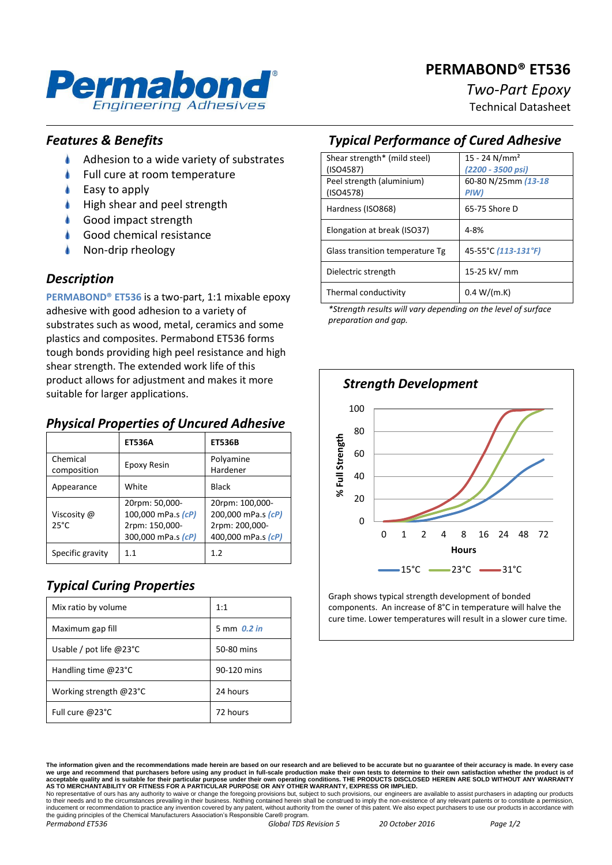# **PERMABOND® ET536**



# *Two-Part Epoxy*

Technical Datasheet

# *Features & Benefits*

- ۸ Adhesion to a wide variety of substrates
- Full cure at room temperature
- Easy to apply
- High shear and peel strength
- Good impact strength
- Good chemical resistance
- Non-drip rheology

### *Description*

**PERMABOND® ET536** is a two-part, 1:1 mixable epoxy adhesive with good adhesion to a variety of substrates such as wood, metal, ceramics and some plastics and composites. Permabond ET536 forms tough bonds providing high peel resistance and high shear strength. The extended work life of this product allows for adjustment and makes it more suitable for larger applications.

# *Physical Properties of Uncured Adhesive*

|                               | <b>ET536A</b>                                                                | <b>ET536B</b>                                                                 |
|-------------------------------|------------------------------------------------------------------------------|-------------------------------------------------------------------------------|
| Chemical<br>composition       | Epoxy Resin                                                                  | Polyamine<br>Hardener                                                         |
| Appearance                    | White                                                                        | Black                                                                         |
| Viscosity @<br>$25^{\circ}$ C | 20rpm: 50,000-<br>100,000 mPa.s (cP)<br>2rpm: 150,000-<br>300,000 mPa.s (cP) | 20rpm: 100,000-<br>200,000 mPa.s (cP)<br>2rpm: 200,000-<br>400,000 mPa.s (cP) |
| Specific gravity              | 1.1                                                                          | 1.2                                                                           |

# *Typical Curing Properties*

| Mix ratio by volume              | 1:1           |
|----------------------------------|---------------|
| Maximum gap fill                 | 5 mm $0.2$ in |
| Usable / pot life $@23^{\circ}C$ | 50-80 mins    |
| Handling time $@23°C$            | 90-120 mins   |
| Working strength @23°C           | 24 hours      |
| Full cure @23°C                  | 72 hours      |

# *Typical Performance of Cured Adhesive*

| Shear strength* (mild steel)    | $15 - 24$ N/mm <sup>2</sup> |
|---------------------------------|-----------------------------|
| (ISO4587)                       | (2200 - 3500 psi)           |
| Peel strength (aluminium)       | 60-80 N/25mm (13-18         |
| (ISO4578)                       | PIW)                        |
| Hardness (ISO868)               | 65-75 Shore D               |
|                                 |                             |
| Elongation at break (ISO37)     | 4-8%                        |
| Glass transition temperature Tg | 45-55°C (113-131°F)         |
|                                 |                             |
| Dielectric strength             | 15-25 kV/ mm                |
|                                 |                             |
| Thermal conductivity            | 0.4 W/(m.K)                 |
|                                 |                             |

*\*Strength results will vary depending on the level of surface preparation and gap.*



Graph shows typical strength development of bonded components. An increase of 8°C in temperature will halve the cure time. Lower temperatures will result in a slower cure time.

to their needs and to the circumstances prevailing in their business. Nothing contained herein shall be construed to imply the non-existence of any relevant patents or to constitute a permission, inducement or recommendation to practice any invention covered by any patent, without authority from the owner of this patent. We also expect purchasers to use our products in accordance with the guiding principles of the Chemical Manufacturers Association's Responsible Care® program *Permabond ET536 Global TDS Revision 5 20 October 2016 Page 1/2*

**The information given and the recommendations made herein are based on our research and are believed to be accurate but no guarantee of their accuracy is made. In every case**  we urge and recommend that purchasers before using any product in full-scale production make their own tests to determine to their own satisfaction whether the product is of<br>acceptable quality and is suitable for their par